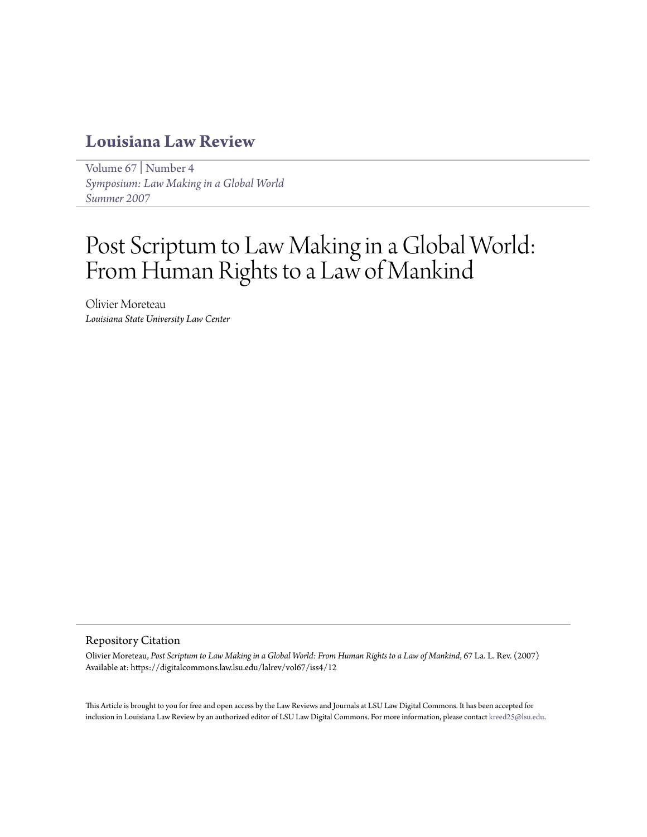# **[Louisiana Law Review](https://digitalcommons.law.lsu.edu/lalrev)**

[Volume 67](https://digitalcommons.law.lsu.edu/lalrev/vol67) | [Number 4](https://digitalcommons.law.lsu.edu/lalrev/vol67/iss4) *[Symposium: Law Making in a Global World](https://digitalcommons.law.lsu.edu/lalrev/vol67/iss4) [Summer 2007](https://digitalcommons.law.lsu.edu/lalrev/vol67/iss4)*

# Post Scriptum to Law Making in a Global World: From Human Rights to a Law of Mankind

Olivier Moreteau *Louisiana State University Law Center*

#### Repository Citation

Olivier Moreteau, *Post Scriptum to Law Making in a Global World: From Human Rights to a Law of Mankind*, 67 La. L. Rev. (2007) Available at: https://digitalcommons.law.lsu.edu/lalrev/vol67/iss4/12

This Article is brought to you for free and open access by the Law Reviews and Journals at LSU Law Digital Commons. It has been accepted for inclusion in Louisiana Law Review by an authorized editor of LSU Law Digital Commons. For more information, please contact [kreed25@lsu.edu](mailto:kreed25@lsu.edu).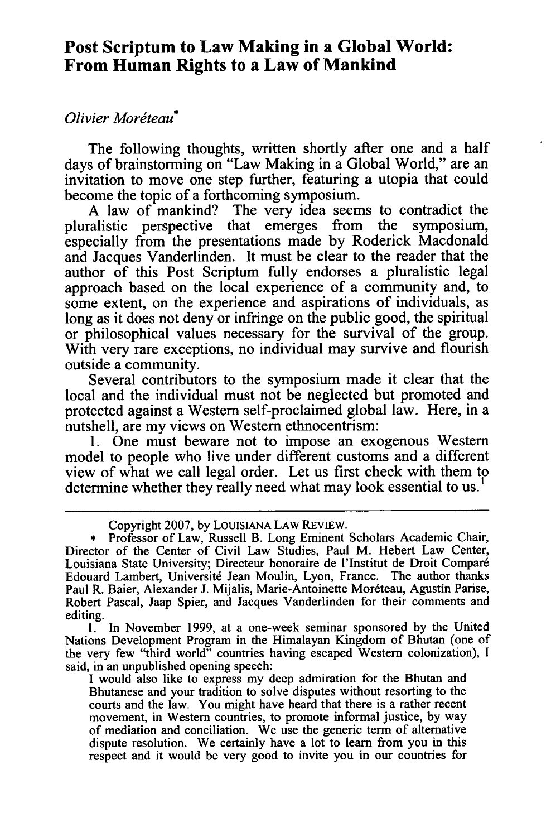# **Post Scriptum to Law Making in a Global World: From Human Rights to a Law of Mankind**

# *Olivier Moréteau*\*

The following thoughts, written shortly after one and a half days of brainstorming on "Law Making in a Global World," are an invitation to move one step further, featuring a utopia that could become the topic of a forthcoming symposium.

A law of mankind? The very idea seems to contradict the pluralistic perspective that emerges from the symposium, especially from the presentations made by Roderick Macdonald and Jacques Vanderlinden. It must be clear to the reader that the author of this Post Scriptum fully endorses a pluralistic legal approach based on the local experience of a community and, to some extent, on the experience and aspirations of individuals, as long as it does not deny or infringe on the public good, the spiritual or philosophical values necessary for the survival of the group. With very rare exceptions, no individual may survive and flourish outside a community.

Several contributors to the symposium made it clear that the local and the individual must not be neglected but promoted and protected against a Western self-proclaimed global law. Here, in a nutshell, are my views on Western ethnocentrism:

**1.** One must beware not to impose an exogenous Western model to people who live under different customs and a different view of what we call legal order. Let us first check with them to determine whether they really need what may look essential to us.<sup>1</sup>

1. In November **1999,** at a one-week seminar sponsored by the United Nations Development Program in the Himalayan Kingdom of Bhutan (one of the very few "third world" countries having escaped Western colonization), I said, in an unpublished opening speech:

I would also like to express my deep admiration for the Bhutan and Bhutanese and your tradition to solve disputes without resorting to the courts and the law. You might have heard that there is a rather recent movement, in Western countries, to promote informal justice, by way of mediation and conciliation. We use the generic term of alternative dispute resolution. We certainly have a lot to learn from you in this respect and it would be very good to invite you in our countries for

Copyright 2007, by LOUISIANA LAW REVIEW.

<sup>\*</sup> Professor of Law, Russell B. Long Eminent Scholars Academic Chair, Director of the Center of Civil Law Studies, Paul M. Hebert Law Center, Louisiana State University; Directeur honoraire de l'Institut de Droit Comparé Edouard Lambert, Université Jean Moulin, Lyon, France. The author thanks Paul R. Baier, Alexander J. Mijalis, Marie-Antoinette Moréteau, Agustín Parise, Robert Pascal, Jaap Spier, and Jacques Vanderlinden for their comments and editing.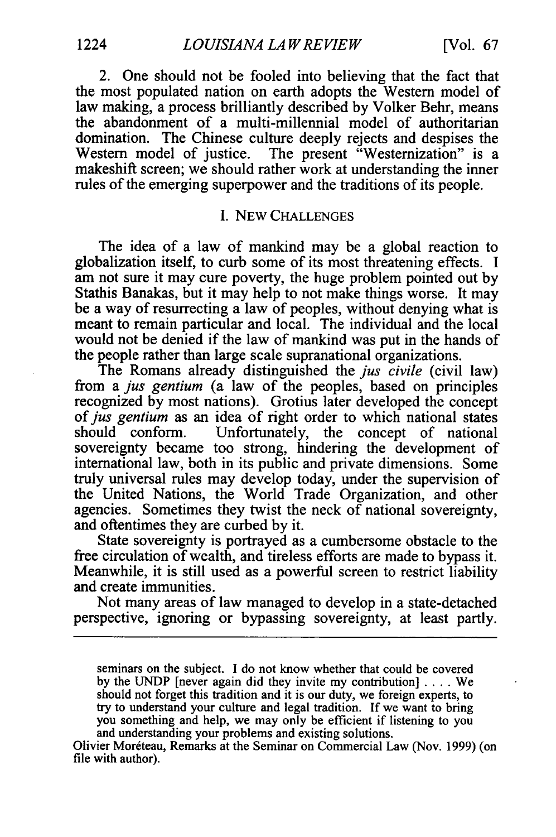2. One should not be fooled into believing that the fact that the most populated nation on earth adopts the Western model of law making, a process brilliantly described by Volker Behr, means the abandonment of a multi-millennial model of authoritarian domination. The Chinese culture deeply rejects and despises the Western model of justice. The present "Westernization" is a makeshift screen; we should rather work at understanding the inner rules of the emerging superpower and the traditions of its people.

#### I. NEW CHALLENGES

The idea of a law of mankind may be a global reaction to globalization itself, to curb some of its most threatening effects. I am not sure it may cure poverty, the huge problem pointed out by Stathis Banakas, but it may help to not make things worse. It may be a way of resurrecting a law of peoples, without denying what is meant to remain particular and local. The individual and the local would not be denied if the law of mankind was put in the hands of the people rather than large scale supranational organizations.

The Romans already distinguished the *jus civile* (civil law) from a *jus gentium* (a law of the peoples, based on principles recognized by most nations). Grotius later developed the concept *of jus gentium* as an idea of right order to which national states Unfortunately, the concept of national sovereignty became too strong, hindering the development of international law, both in its public and private dimensions. Some truly universal rules may develop today, under the supervision of the United Nations, the World Trade Organization, and other agencies. Sometimes they twist the neck of national sovereignty, and oftentimes they are curbed by it.

State sovereignty is portrayed as a cumbersome obstacle to the free circulation of wealth, and tireless efforts are made to bypass it. Meanwhile, it is still used as a powerful screen to restrict liability and create immunities.

Not many areas of law managed to develop in a state-detached perspective, ignoring or bypassing sovereignty, at least partly.

seminars on the subject. I do not know whether that could be covered by the UNDP [never again did they invite my contribution] .... We should not forget this tradition and it is our duty, we foreign experts, to try to understand your culture and legal tradition. If we want to bring you something and help, we may only be efficient if listening to you and understanding your problems and existing solutions.

Olivier Mordteau, Remarks at the Seminar on Commercial Law (Nov. 1999) (on file with author).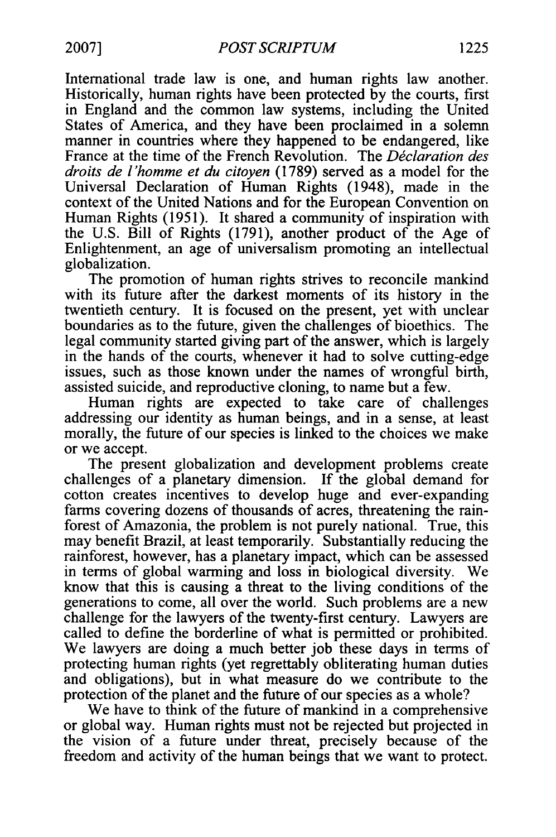International trade law is one, and human rights law another. Historically, human rights have been protected by the courts, first in England and the common law systems, including the United States of America, and they have been proclaimed in a solemn manner in countries where they happened to be endangered, like France at the time of the French Revolution. The *Déclaration des droits de l'homme et du citoyen* (1789) served as a model for the Universal Declaration of Human Rights (1948), made in the context of the United Nations and for the European Convention on Human Rights (1951). It shared a community of inspiration with the U.S. Bill of Rights (1791), another product of the Age of Enlightenment, an age of universalism promoting an intellectual globalization.

The promotion of human rights strives to reconcile mankind with its future after the darkest moments of its history in the twentieth century. It is focused on the present, yet with unclear boundaries as to the future, given the challenges of bioethics. The legal community started giving part of the answer, which is largely in the hands of the courts, whenever it had to solve cutting-edge issues, such as those known under the names of wrongful birth, assisted suicide, and reproductive cloning, to name but a few.

Human rights are expected to take care of challenges addressing our identity as human beings, and in a sense, at least morally, the future of our species is linked to the choices we make or we accept.

The present globalization and development problems create challenges of a planetary dimension. If the global demand for cotton creates incentives to develop huge and ever-expanding farms covering dozens of thousands of acres, threatening the rainforest of Amazonia, the problem is not purely national. True, this may benefit Brazil, at least temporarily. Substantially reducing the rainforest, however, has a planetary impact, which can be assessed in terms of global warming and loss in biological diversity. We know that this is causing a threat to the living conditions of the generations to come, all over the world. Such problems are a new challenge for the lawyers of the twenty-first century. Lawyers are called to define the borderline of what is permitted or prohibited. We lawyers are doing a much better job these days in terms of protecting human rights (yet regrettably obliterating human duties and obligations), but in what measure do we contribute to the protection of the planet and the future of our species as a whole?

We have to think of the future of mankind in a comprehensive or global way. Human rights must not be rejected but projected in the vision of a future under threat, precisely because of the freedom and activity of the human beings that we want to protect.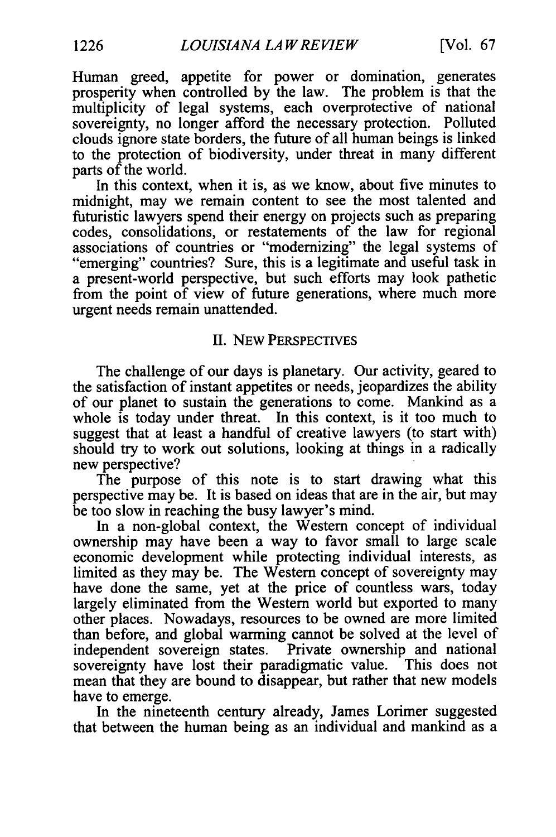Human greed, appetite for power or domination, generates prosperity when controlled by the law. The problem is that the multiplicity of legal systems, each overprotective of national sovereignty, no longer afford the necessary protection. Polluted clouds ignore state borders, the future of all human beings is linked to the protection of biodiversity, under threat in many different parts of the world.

In this context, when it is, as we know, about five minutes to midnight, may we remain content to see the most talented and futuristic lawyers spend their energy on projects such as preparing codes, consolidations, or restatements of the law for regional associations of countries or "modernizing" the legal systems of "emerging" countries? Sure, this is a legitimate and useful task in a present-world perspective, but such efforts may look pathetic from the point of view of future generations, where much more urgent needs remain unattended.

# II. NEW PERSPECTIVES

The challenge of our days is planetary. Our activity, geared to the satisfaction of instant appetites or needs, jeopardizes the ability of our planet to sustain the generations to come. Mankind as a whole is today under threat. In this context, is it too much to suggest that at least a handful of creative lawyers (to start with) should try to work out solutions, looking at things in a radically new perspective?

The purpose of this note is to start drawing what this perspective may be. It is based on ideas that are in the air, but may be too slow in reaching the busy lawyer's mind.

In a non-global context, the Western concept of individual ownership may have been a way to favor small to large scale economic development while protecting individual interests, as limited as they may be. The Western concept of sovereignty may have done the same, yet at the price of countless wars, today largely eliminated from the Western world but exported to many other places. Nowadays, resources to be owned are more limited than before, and global warming cannot be solved at the level of independent sovereign states. Private ownership and national sovereignty have lost their paradigmatic value. This does not mean that they are bound to disappear, but rather that new models have to emerge.

In the nineteenth century already, James Lorimer suggested that between the human being as an individual and mankind as a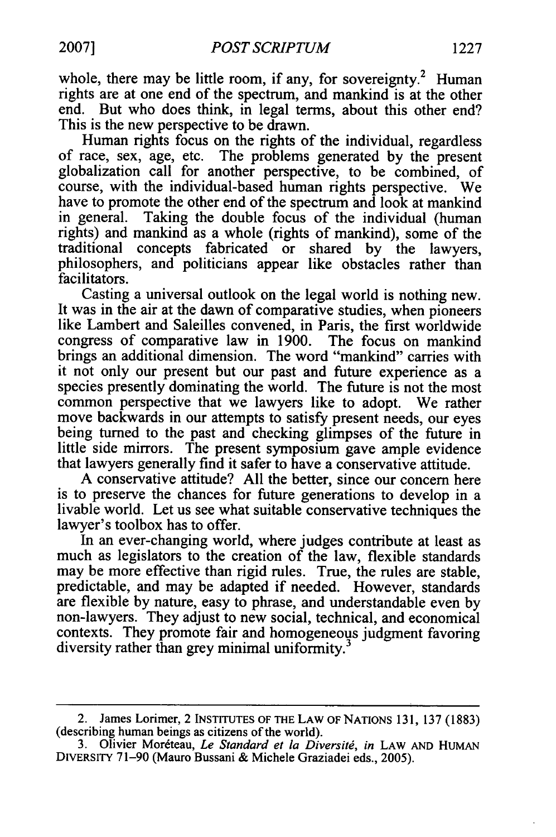whole, there may be little room, if any, for sovereignty.<sup>2</sup> Human rights are at one end of the spectrum, and mankind is at the other end. But who does think, in legal terms, about this other end? This is the new perspective to be drawn.

Human rights focus on the rights of the individual, regardless of race, sex, age, etc. The problems generated by the present globalization call for another perspective, to be combined, of course, with the individual-based human rights perspective. We have to promote the other end of the spectrum and look at mankind in general. Taking the double focus of the individual (human rights) and mankind as a whole (rights of mankind), some of the traditional concepts fabricated or shared by the lawyers, philosophers, and politicians appear like obstacles rather than facilitators.

Casting a universal outlook on the legal world is nothing new.<br>It was in the air at the dawn of comparative studies, when pioneers like Lambert and Saleilles convened, in Paris, the first worldwide congress of comparative law in 1900. The focus on mankind brings an additional dimension. The word "mankind" carries with it not only our present but our past and future experience as a species presently dominating the world. The future is not the most common perspective that we lawyers like to adopt. We rather move backwards in our attempts to satisfy present needs, our eyes being turned to the past and checking glimpses of the future in little side mirrors. The present symposium gave ample evidence that lawyers generally find it safer to have a conservative attitude.

A conservative attitude? All the better, since our concern here is to preserve the chances for future generations to develop in a livable world. Let us see what suitable conservative techniques the lawyer's toolbox has to offer.

In an ever-changing world, where judges contribute at least as much as legislators to the creation of the law, flexible standards may be more effective than rigid rules. True, the rules are stable, predictable, and may be adapted if needed. However, standards are flexible by nature, easy to phrase, and understandable even by non-lawyers. They adjust to new social, technical, and economical contexts. They promote fair and homogeneous judgment favoring diversity rather than grey minimal uniformity.

<sup>2.</sup> James Lorimer, 2 INSTITUTES OF THE LAW OF NATIONS 131, 137 (1883) (describing human beings as citizens of the world).

<sup>3.</sup> Olivier Mor~teau, *Le Standard et la Diversitg, in* LAW AND HUMAN DIVERSITY 71-90 (Mauro Bussani & Michele Graziadei eds., 2005).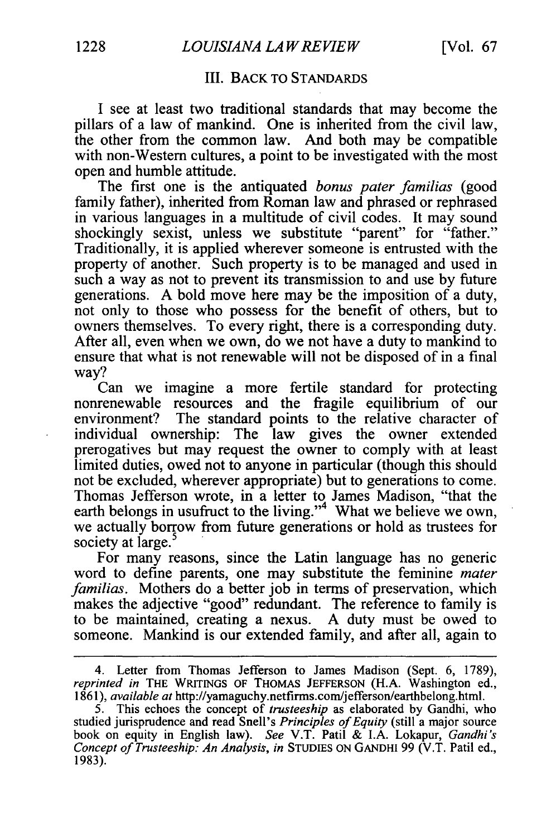## III. BACK TO STANDARDS

**I** see at least two traditional standards that may become the pillars of a law of mankind. One is inherited from the civil law, the other from the common law. And both may be compatible with non-Western cultures, a point to be investigated with the most open and humble attitude.

The first one is the antiquated *bonus pater familias* (good family father), inherited from Roman law and phrased or rephrased in various languages in a multitude of civil codes. It may sound shockingly sexist, unless we substitute "parent" for "father." Traditionally, it is applied wherever someone is entrusted with the property of another. Such property is to be managed and used in such a way as not to prevent its transmission to and use **by** future generations. A bold move here may be the imposition of a duty, not only to those who possess for the benefit of others, but to owners themselves. To every right, there is a corresponding duty. After all, even when we own, do we not have a duty to mankind to ensure that what is not renewable will not be disposed of in a final way?

Can we imagine a more fertile standard for protecting nonrenewable resources and the fragile equilibrium of our environment? The standard points to the relative character of individual ownership: The law gives the owner extended prerogatives but may request the owner to comply with at least limited duties, owed not to anyone in particular (though this should not be excluded, wherever appropriate) but to generations to come. Thomas Jefferson wrote, in a letter to James Madison, "that the earth belongs in usufruct to the living."<sup>4</sup> What we believe we own, we actually borrow from future generations or hold as trustees for society at large.<sup>5</sup>

For many reasons, since the Latin language has no generic word to define parents, one may substitute the feminine *mater familias.* Mothers do a better job in terms of preservation, which makes the adjective "good" redundant. The reference to family is to be maintained, creating a nexus. A duty must be owed to someone. Mankind is our extended family, and after all, again to

<sup>4.</sup> Letter from Thomas Jefferson to James Madison (Sept. 6, 1789), *reprinted in* THE WRITINGS OF **THOMAS JEFFERSON** (H.A. Washington ed., 1861), *available at* http://yamaguchy.netfirms.com/jefferson/earthbelong.html.

<sup>5.</sup> This echoes the concept of *trusteeship* as elaborated by Gandhi, who studied jurisprudence and read Snell's *Principles of Equity* (still a major source book on equity in English law). *See* V.T. Patil & I.A. Lokapur, *Gandhi's Concept of Trusteeship: An Analysis, in* **STUDIES** ON **GANDHI** 99 (V.T. Patil ed., 1983).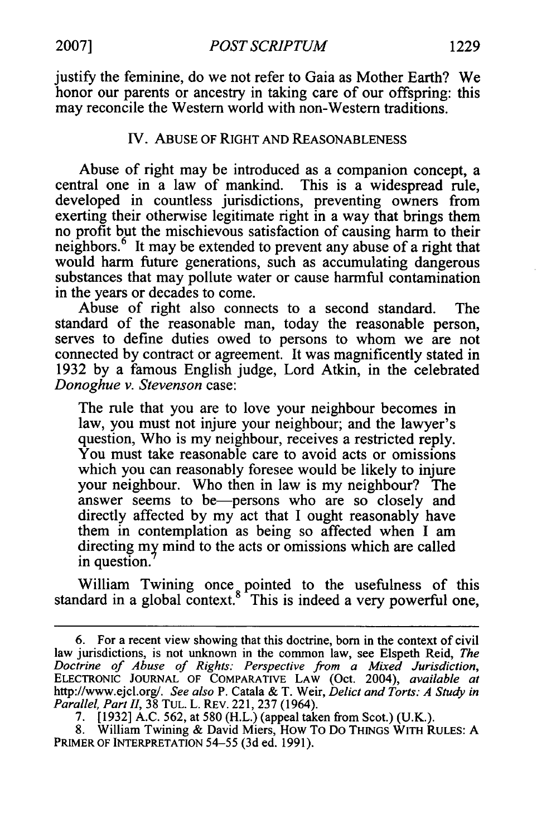*POST SCRIPTUM* **2007] 1229**

justify the feminine, do we not refer to Gaia as Mother Earth? We honor our parents or ancestry in taking care of our offspring: this may reconcile the Western world with non-Western traditions.

# **IV.** ABUSE OF RIGHT **AND** REASONABLENESS

Abuse of right may be introduced as a companion concept, a central one in a law of mankind. This is a widespread rule, developed in countless jurisdictions, preventing owners from exerting their otherwise legitimate right in a way that brings them no profit but the mischievous satisfaction of causing harm to their neighbors.<sup>6</sup> It may be extended to prevent any abuse of a right that would harm future generations, such as accumulating dangerous substances that may pollute water or cause harmful contamination in the years or decades to come.

Abuse of right also connects to a second standard. The standard of the reasonable man, today the reasonable person, serves to define duties owed to persons to whom we are not connected by contract or agreement. It was magnificently stated in 1932 by a famous English judge, Lord Atkin, in the celebrated *Donoghue v. Stevenson* case:

The rule that you are to love your neighbour becomes in law, you must not injure your neighbour; and the lawyer's question, Who is my neighbour, receives a restricted reply. You must take reasonable care to avoid acts or omissions which you can reasonably foresee would be likely to injure your neighbour. Who then in law is my neighbour? The answer seems to be-persons who are so closely and directly affected by my act that I ought reasonably have them in contemplation as being so affected when I am directing my mind to the acts or omissions which are called in question.

William Twining once pointed to the usefulness of this standard in a global context. $8<sup>1</sup>$  This is indeed a very powerful one,

<sup>6.</sup> For a recent view showing that this doctrine, born in the context of civil law jurisdictions, is not unknown in the common law, see Elspeth Reid, *The Doctrine of Abuse of Rights: Perspective from a Mixed Jurisdiction,* ELECTRONIC JOURNAL OF COMPARATIVE LAW (Oct. 2004), *available at* http://www.ejcl.org/. *See also* P. Catala & T. Weir, *Delict and Torts: A Study in Parallel, Part 1,* 38 TUL. L. REv. 221, 237 (1964).

<sup>7. [1932]</sup> A.C. 562, at 580 (H.L.) (appeal taken from Scot.) (U.K.).

<sup>8.</sup> William Twining & David Miers, How To Do THINGS WITH RULES: A PRIMER OF INTERPRETATION 54-55 (3d ed. 1991).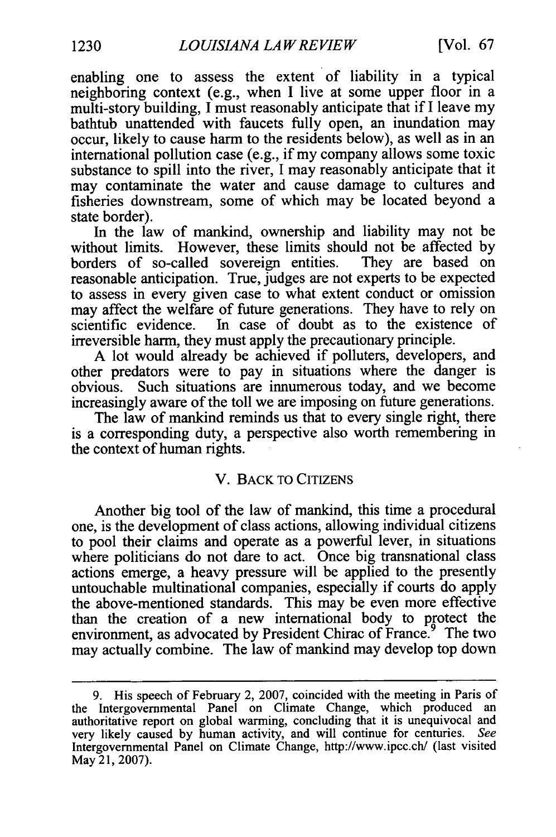enabling one to assess the extent of liability in a typical neighboring context (e.g., when I live at some upper floor in a multi-story building, I must reasonably anticipate that if I leave my bathtub unattended with faucets fully open, an inundation may occur, likely to cause harm to the residents below), as well as in an international pollution case (e.g., if my company allows some toxic substance to spill into the river, I may reasonably anticipate that it may contaminate the water and cause damage to cultures and fisheries downstream, some of which may be located beyond a state border).

In the law of mankind, ownership and liability may not be without limits. However, these limits should not be affected by borders of so-called sovereign entities. They are based on reasonable anticipation. True, judges are not experts to be expected to assess in every given case to what extent conduct or omission may affect the welfare of future generations. They have to rely on scientific evidence. In case of doubt as to the existence of irreversible harm, they must apply the precautionary principle.

A lot would already be achieved if polluters, developers, and other predators were to pay in situations where the danger is obvious. Such situations are innumerous today, and we become increasingly aware of the toll we are imposing on future generations.

The law of mankind reminds us that to every single right, there is a corresponding duty, a perspective also worth remembering in the context of human rights.

## V. BACK TO CITIZENS

Another big tool of the law of mankind, this time a procedural one, is the development of class actions, allowing individual citizens to pool their claims and operate as a powerful lever, in situations where politicians do not dare to act. Once big transnational class actions emerge, a heavy pressure will be applied to the presently untouchable multinational companies, especially if courts do apply the above-mentioned standards. This may be even more effective than the creation of a new international body to protect the environment, as advocated by President Chirac of France.<sup>9</sup> The two may actually combine. The law of mankind may develop top down

<sup>9.</sup> His speech of February 2, 2007, coincided with the meeting in Paris of the Intergovernmental Panel on Climate Change, which produced an authoritative report on global warming, concluding that it is unequivocal and very likely caused **by** human activity, and will continue for centuries. See Intergovernmental Panel on Climate Change, http://www.ipcc.ch/ (last visited May 21, 2007).